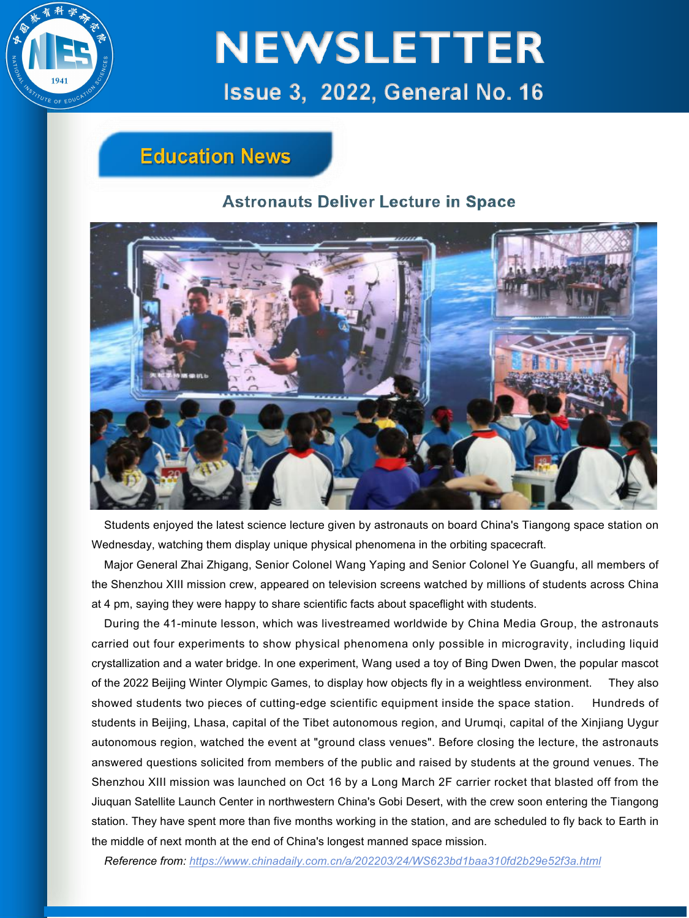

## **Education News**

### **Astronauts Deliver Lecture in Space**



Students enjoyed the latest science lecture given by astronauts on board China's Tiangong space station on Wednesday, watching them display unique physical phenomena in the orbiting spacecraft.

Major General Zhai Zhigang, Senior Colonel Wang Yaping and Senior Colonel Ye Guangfu, all members of the Shenzhou XIII mission crew, appeared on television screens watched by millions of students across China at 4 pm, saying they were happy to share scientific facts about spaceflight with students.

During the 41-minute lesson, which was livestreamed worldwide by China Media Group, the astronauts carried out four experiments to show physical phenomena only possible in microgravity, including liquid crystallization and a water bridge. In one experiment, Wang used a toy of Bing Dwen Dwen, the popular mascot of the 2022 Beijing Winter Olympic Games, to display how objects fly in a weightless environment. They also showed students two pieces of cutting-edge scientific equipment inside the space station. Hundreds of students in Beijing, Lhasa, capital of the Tibet autonomous region, and Urumqi, capital of the Xinjiang Uygur autonomous region, watched the event at "ground class venues". Before closing the lecture, the astronauts answered questions solicited from members of the public and raised by students at the ground venues. The Shenzhou XIII mission was launched on Oct 16 by a Long March 2F carrier rocket that blasted off from the Jiuquan Satellite Launch Center in northwestern China's Gobi Desert, with the crew soon entering the Tiangong station. They have spent more than five months working in the station, and are scheduled to fly back to Earth in the middle of next month at the end of China's longest manned space mission.

*Reference from: https://www.chinadaily.com.cn/a/202203/24/WS623bd1baa310fd2b29e52f3a.html*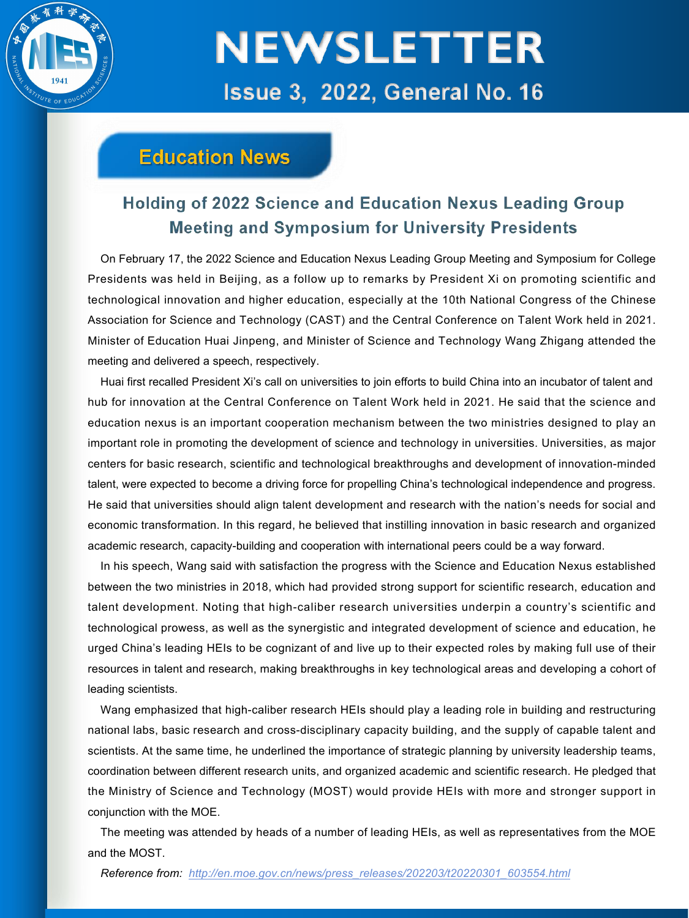

## **Education News**

### Holding of 2022 Science and Education Nexus Leading Group **Meeting and Symposium for University Presidents**

On February 17, the 2022 Science and Education Nexus Leading Group Meeting and Symposium for College<br>Presidents was held in Beijing, as a follow up to remarks by President Xi on promoting scientific and technological innovation and higher education, especially at the 10th National Congress of the Chinese Association for Science and Technology (CAST) and the Central Conference on Talent Work held in 2021. Minister of Education Huai Jinpeng, and Ministerof Science and Technology Wang Zhigang attended the meeting and delivered a speech, respectively.

Huai first recalled President Xi's call on universities to join efforts to build China into an incubator of talent and hub for innovation at the Central Conference on Talent Work held in 2021. He said that the science and education nexus is an important cooperation mechanism between the two ministries designed to play an important role in promoting the development of science and technology in universities. Universities, as major centers for basic research, scientific and technological breakthroughs and development of innovation-minded talent, were expected to become a driving force for propelling China's technological independence and progress. He said that universities should align talent development and research with the nation's needs for social and economic transformation. In this regard, he believed that instilling innovation in basic research and organized academic research, capacity-building and cooperation with international peers could be a way forward.

In his speech, Wang said with satisfaction the progress with the Science and Education Nexus established between the two ministries in 2018, which had provided strong support for scientific research, education and talent development. Noting that high-caliber research universities underpin a country's scientific and technological prowess, as well as the synergistic and integrated development of science and education, he urged China's leading HEIs to be cognizant of and live up to their expected roles by making full use of their resources in talent and research, making breakthroughs in key technological areas and developing a cohort of leading scientists.

Wang emphasized that high-caliber research HEIs should play a leading role in building and restructuring national labs, basic research and cross-disciplinary capacity building,and the supply of capable talent and scientists. At the same time, he underlined the importance of strategic planning by university leadership teams, coordination between different research units, and organized academic and scientific research. He pledged that the Ministry of Science and Technology (MOST) would provide HEIs with more and stronger support in conjunction with the MOE.

The meeting was attended by heads of a number of leading HEIs, as wellas representatives from the MOE and the MOST.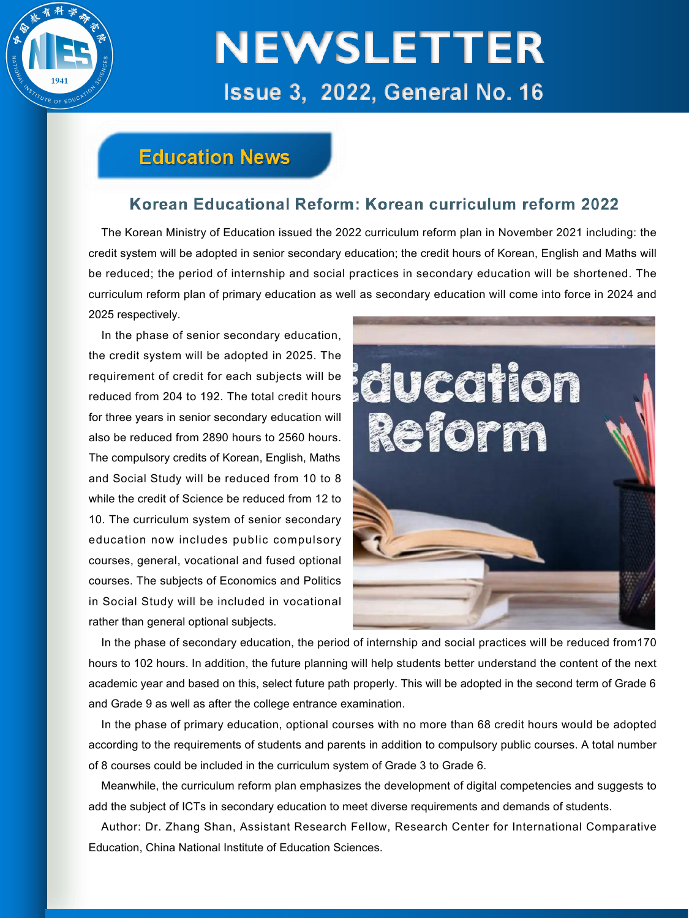

## **Education News**

### Korean Educational Reform: Korean curriculum reform 2022

The Korean Ministry of Education issued the 2022 curriculum reform plan in November 2021 including: the credit system will be adopted in senior secondary education; the credit hours of Korean, English and Maths will be reduced; the period of internship and social practices in secondary education will be shortened. The curriculum reform plan of primary education as well as secondary education will come into force in 2024 and 2025 respectively.

In the phase of senior secondary education, the credit system will be adopted in 2025. The<br>requirement of credit for each subjects will be<br>reduced from 204 to 192. The total credit hours<br>and the same of the solar credit hours<br>and all the same of the subjects will be requirement of credit for each subjects will be reduced from 204 to 192. The total credit hours for three years in senior secondary education will<br>also be reduced from 2890 hours to 2560 hours.<br>
also be reduced from 2890 hours to 2560 hours. also be reduced from 2890 hours to 2560 hours. The compulsory credits of Korean, English, Maths and Social Study will be reduced from 10 to 8 while the credit of Science be reduced from 12 to 10. The curriculum system of senior secondary education now includes public compulsory courses, general, vocational and fused optional courses. The subjects of Economics and Politics in Social Study will be included in vocational rather than general optional subjects.



In the phase of secondary education, the period of internship and social practices will be reduced from170 hours to 102 hours. In addition, the future planning will help students better understand the content of the next academic year and based on this, select future path properly. This will be adopted in the second term of Grade 6 and Grade 9 as well as after the college entrance examination.

In the phase of primary education, optional courses with no more than 68 credit hours would be adopted according to the requirements of students and parents in addition to compulsory public courses. A total number of 8 courses could be included in the curriculum system of Grade 3 to Grade 6.<br>Meanwhile, the curriculum reform plan emphasizes the development of digital competencies and suggests to

add the subject of ICTs in secondary education to meet diverse requirements and demands of students.

Author: Dr. Zhang Shan, Assistant Research Fellow, Research Center for International Comparative Education, China National Institute of Education Sciences.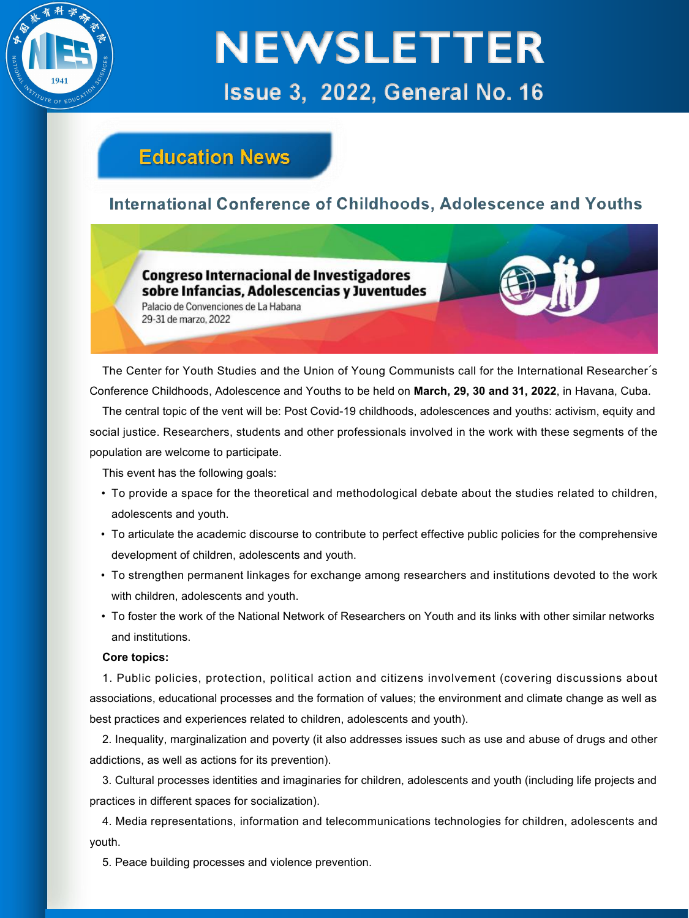

## **Education News**

### **International Conference of Childhoods, Adolescence and Youths**

**Congreso Internacional de Investigadores** sobre Infancias. Adolescencias y Juventudes

Palacio de Convenciones de La Habana 29-31 de marzo 2022

The Center for Youth Studies and the Union of Young Communists call for the International Researcher´s Conference Childhoods, Adolescence and Youths to be held on **March, 29, 30 and 31, 2022**, in Havana, Cuba.

The central topic of the vent will be: Post Covid-19 childhoods, adolescences and youths: activism, equity and social justice. Researchers, students and other professionals involved in the work with these segments of the population are welcome to participate.<br>This event has the following goals:

- To provide a space for the theoretical and methodological debate about the studies related to children, adolescents and youth.
- To articulate the academic discourse to contribute to perfect effective public policies for the comprehensive development of children, adolescents and youth.
- To strengthen permanent linkages for exchange among researchers and institutions devoted to the work with children, adolescents and youth.
- To foster the work of the National Network of Researchers on Youth and its links with other similar networks and institutions.

#### **Core topics:**

1. Public policies, protection, political action and citizens involvement (covering discussions about associations, educational processes and the formation of values; the environment and climate change as well as best practices and experiences related to children, adolescents and youth).

2. Inequality, marginalization and poverty (it also addresses issues such as use and abuse of drugs and other addictions, as well as actions for its prevention).

3. Cultural processes identities and imaginaries for children, adolescents and youth (including life projects and practices in different spaces for socialization).

4. Media representations, information and telecommunications technologies for children, adolescents and youth.

5. Peace building processes and violence prevention.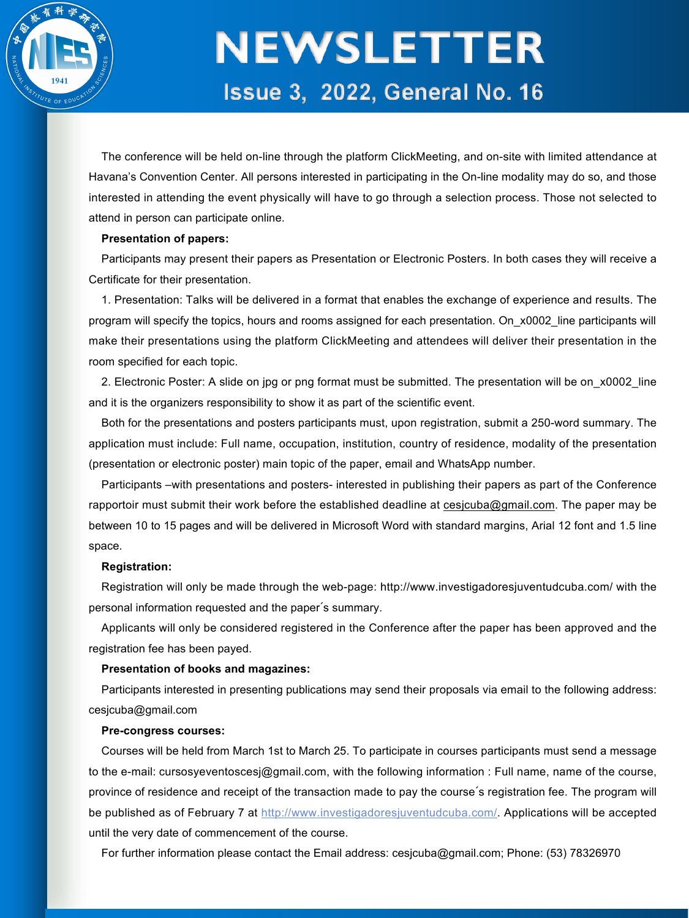

The conference will be held on-line through the platform ClickMeeting, and on-site with limited attendance at Havana's Convention Center. All persons interested in participating in the On-line modality may do so, and those interested in attending the event physically will have to go through a selection process. Those not selected to attend in person can participate online.

#### **Presentation of papers:**

Participants may present their papers as Presentation or Electronic Posters. In both cases they will receive a Certificate for their presentation.

1. Presentation: Talks will be delivered in a format that enables the exchange of experience and results. The program will specify the topics, hours and rooms assigned for each presentation. On x0002 line participants will make their presentations using the platform ClickMeeting and attendees will deliver their presentation in the room specified for each topic.

2. Electronic Poster: A slide on jpg or png format must be submitted. The presentation will be on x0002 line and it is the organizers responsibility to show it as part of the scientific event.

Both for the presentations and posters participants must, upon registration, submit a 250-word summary. The application must include: Full name, occupation, institution, country of residence, modality of the presentation (presentation or electronic poster) main topic of the paper, email and WhatsApp number.

Participants –with presentations and posters- interested in publishing their papers as part of the Conference rapportoir must submit their work before the established deadline at cesjcuba@gmail.com. The paper may be between 10 to 15 pages and will be delivered in Microsoft Word with standard margins, Arial 12 font and 1.5 line space.

#### **Registration:**

Registration will only be made through the web-page: http://www.investigadoresjuventudcuba.com/ with the personal information requested and the paper´s summary.

Applicants will only be considered registered in the Conference after the paper has been approved and the registration fee has been payed.

#### **Presentation of books and magazines:**

Participants interested in presenting publications may send their proposals via email to the following address: cesjcuba@gmail.com

#### **Pre-congress courses:**

Courses will be held from March 1st to March 25.To participate in courses participants must send a message to the e-mail: cursosyeventoscesj@gmail.com, with the following information : Full name, name of the course, province of residence and receipt of the transaction made to pay the course's registration fee. The program will be published as of February 7 at http://www.investigadoresjuventudcuba.com/. Applications will be accepted until the very date of commencement of the course.

For further information please contact the Email address: cesjcuba@gmail.com; Phone: (53) 78326970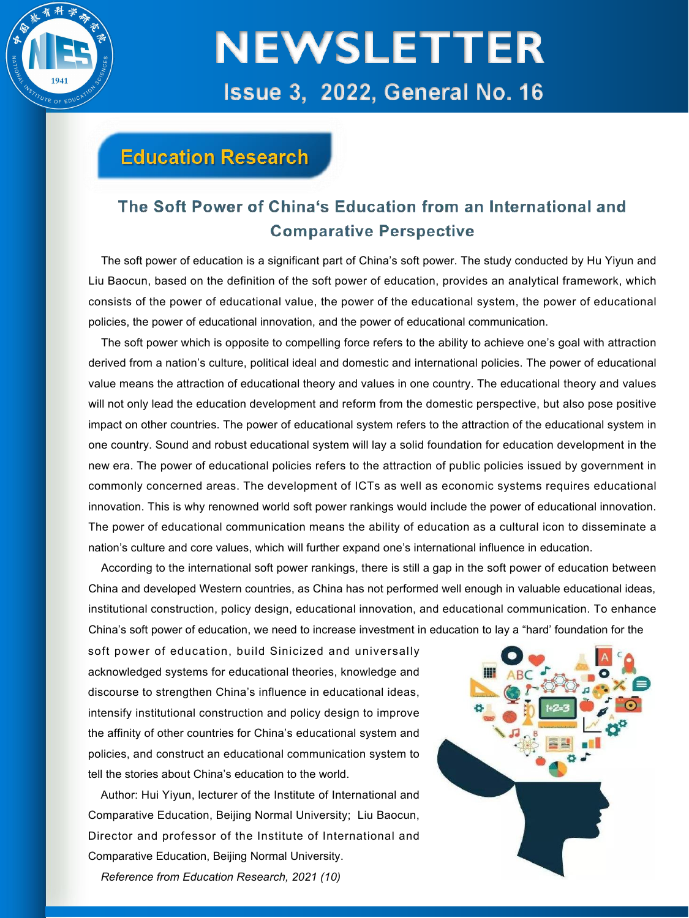

## **Education Research**

### The Soft Power of China's Education from an International and **Comparative Perspective**

The soft power of education is a significant part of China's soft power. The study conducted by Hu Yiyun and Liu Baocun, based on the definition of the soft power of education, provides an analytical framework, which consists of the power of educational value, the power of the educational system, the power of educational policies, the power of educational innovation, and the power of educational communication.

The soft power which is opposite to compelling force refers to the ability to achieve one's goal with attraction derived from a nation's culture, political ideal and domestic and international policies. The power of educational value means the attraction of educational theory and values in one country. The educational theory and values will not only lead the education development and reform from the domestic perspective, but also pose positive impact on other countries. The power ofeducational system refers to the attraction of the educational system in one country. Sound and robust educational system will lay a solid foundation for education development in the new era. The power ofeducational policies refers to the attraction of public policies issued by government in commonly concerned areas. The development of ICTs as well as economic systems requires educational innovation. This is why renowned world soft power rankings would include the power of educational innovation. The power of educational communication means the ability of education as a cultural icon to disseminate a nation's culture and core values, which will further expand one's international influence in education.

According to the international soft power rankings, there isstill a gap in the soft power of education between China and developed Western countries, as China has not performed well enough in valuable educational ideas, institutional construction, policy design, educational innovation, and educational communication. To enhance China's soft power of education, we need to increase investment in education to lay a "hard' foundation for the

soft power of education, build Sinicized and universally acknowledged systems for educational theories, knowledge and discourse to strengthen China's influence in educational ideas, intensify institutional construction and policy design to improve the affinity of other countries for China's educational system and policies, and construct an educational communication system to tell the stories about China's education to the world.

Author: Hui Yiyun, lecturer of the Institute of International and Comparative Education, Beijing Normal University; Liu Baocun, Director and professor of the Institute of International and Comparative Education, Beijing Normal University.

*Reference from Education Research, 2021 (10)*